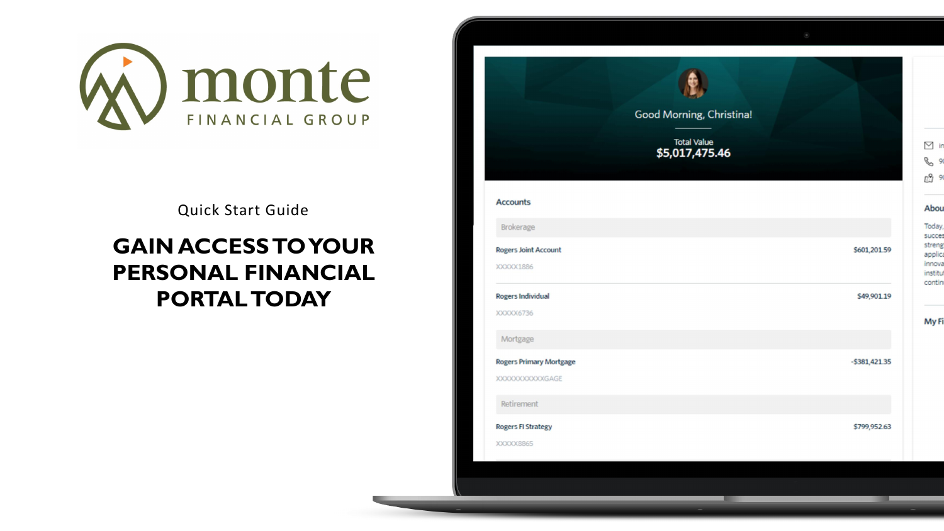# **GAIN ACCESS TO YOUR PERSONAL FINANCIAL PORTAL TODAY**



Go

| od Morning, Christina!               |  |
|--------------------------------------|--|
| <b>Total Value</b><br>\$5,017,475.46 |  |

# Abou

 $\boxdot$  in

 $\mathscr{C}$  91

四9

| Today,   |
|----------|
| succes   |
| strengt  |
| applica  |
| innova   |
| institut |
| continu  |
|          |

# My Fi

| \$601,201.59     |  |
|------------------|--|
| \$49,901.19      |  |
|                  |  |
| $-$ \$381,421.35 |  |
|                  |  |
| \$799,952.63     |  |



Quick Start Guide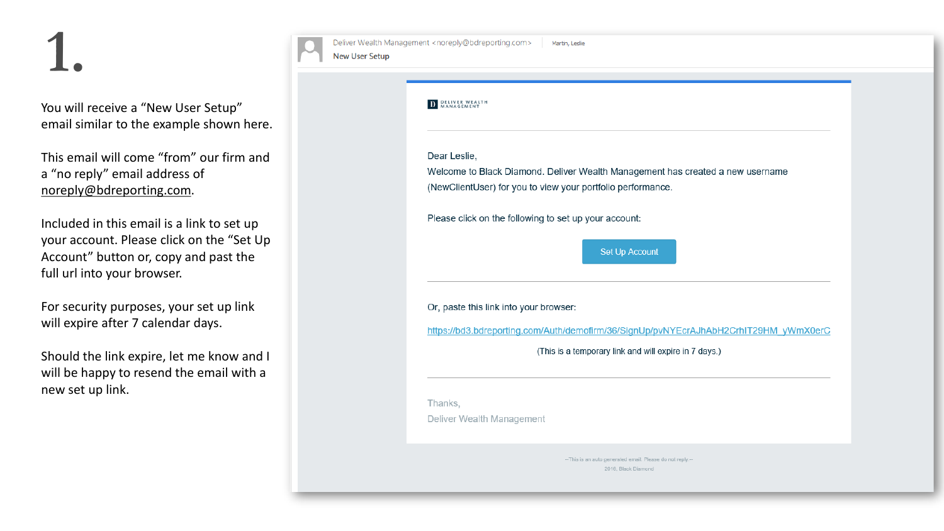You will receive a "New User Setup" email similar to the example shown here.

This email will come "from" our firm and a "no reply" email address of [noreply@bdreporting.com](mailto:noreply@bdreporting.com).

For security purposes, your set up link will expire after 7 calendar days.

Included in this email is a link to set up your account. Please click on the "Set Up Account" button or, copy and past the full url into your browser.

Should the link expire, let me know and I will be happy to resend the email with a new set up link.

| <b>New User Setup</b> | Deliver Wealth Management <noreply@bdreporting.com><br/>Martin, Leslie</noreply@bdreporting.com>                  |
|-----------------------|-------------------------------------------------------------------------------------------------------------------|
|                       |                                                                                                                   |
|                       | <b>DELIVER WEALTH</b><br>MANAGEMENT                                                                               |
|                       | Dear Leslie,<br>Welcome to Black Diamond. Deliver Wealth Mar<br>(NewClientUser) for you to view your portfolio pe |
|                       | Please click on the following to set up your accor                                                                |
|                       | Set Up                                                                                                            |
|                       | Or, paste this link into your browser:                                                                            |
|                       | https://bd3.bdreporting.com/Auth/demofirm/36/Si                                                                   |
|                       | (This is a temporary link                                                                                         |
|                       | Thanks,<br>Deliver Wealth Management                                                                              |
|                       | --This is an auto generated<br>2016, Bla                                                                          |

nagement has created a new username erformance.

unt:

**Account** 

ignUp/pvNYEcrAJhAbH2CrhIT29HM yWmX0erC

and will expire in 7 days.)

email. Please do not reply .--

k Diamond

# **1.**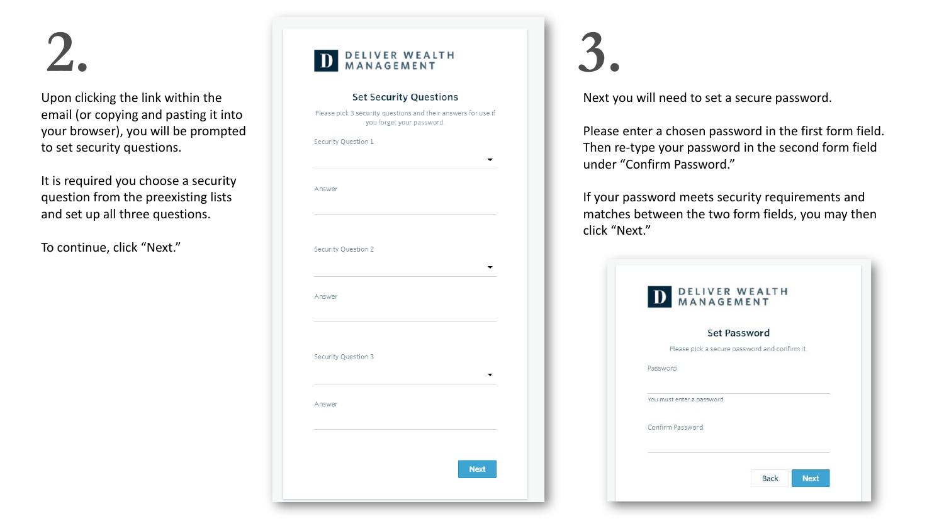Upon clicking the link within the email (or copying and pasting it into your browser), you will be prompted to set security questions.

It is required you choose a security question from the preexisting lists and set up all three questions.

To continue, click "Next."



Next you will need to set a secure password.

Please enter a chosen password in the first form field. Then re -type your password in the second form field under "Confirm Password."

If your password meets security requirements and matches between the two form fields, you may then

|          |                                               | <b>Set Password</b> |  |  |
|----------|-----------------------------------------------|---------------------|--|--|
|          | Please pick a secure password and confirm it. |                     |  |  |
| Password |                                               |                     |  |  |
|          | You must enter a password                     |                     |  |  |
|          | Confirm Password                              |                     |  |  |

click "Next."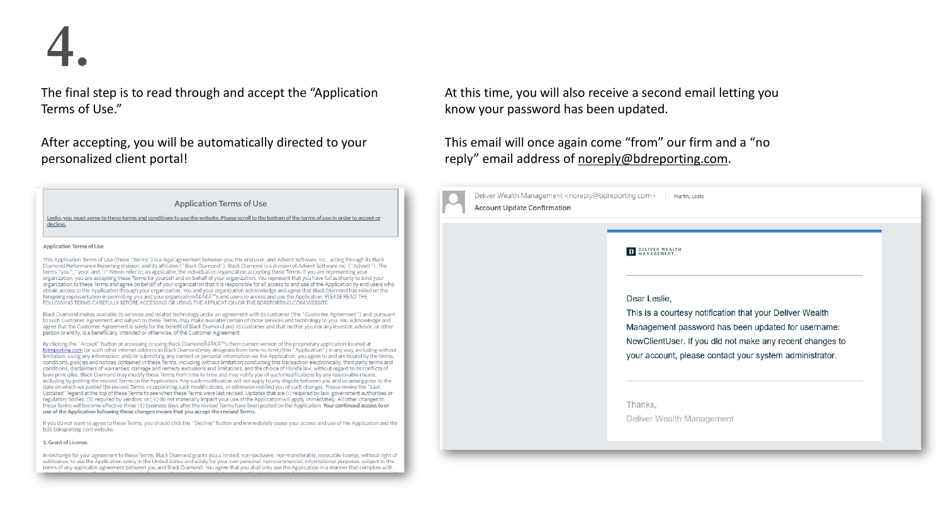The final step is to read through and accept the "Application Terms of Use."

After accepting, you will be automatically directed to your personalized client portal!

**Application Terms of Use** 

Leslie, you must agree to these terms and conditions to use the website. Please scroll to the bottom of the terms of use in order to accept or decline.

### **Application Terms of Use**

This Application Terms of Use (these "Terms") is a legal agreement between you, the end user, and Advent Software, Inc., acting through its Black Diamond Performance Reporting division, and its affiliates ("Black Diamond"). Black Diamond is a division of Advent Software Inc. ("Advent"). The terms "you", "your, and "I" herein refer to, as applicable, the individual or organization accepting these Terms. If you are representing your organization, you are accepting these Terms for yourself and on behalf of your organization. You represent that you have full authority to bind your organization to these Terms and agree on behalf of your organization that it is responsible for all access to and use of the Application by end users who obtain access to the Application through your organization. You and your organization acknowledge and agree that Black Diamond has relied on the foregoing representation in permitting you and your organizationâÁ€Â™s end users to access and use the Application. PLEASE READ THE FOLLOWING TERMS CAREFULLY BEFORE ACCESSING OR USING THE APPLICATION OR THE BDREPORTING COM WEBSITE.

Black Diamond makes available its services and related technology under an agreement with its customer (the "Customer Agreement") and, pursuant to such Customer Agreement and subject to these Terms, may make available certain of those services and technology to you. You acknowledge and agree that the Customer Agreement is solely for the benefit of Black Diamond and its customer and that neither you nor any investor, advisor, or other person or entity, is a beneficiary, intended or otherwise, of the Customer Agreement.

By clicking the "Accept" button or accessing or using Black Diamondâ€Â™s then-current version of the proprietary application located at bdreporting.com (or such other internet address as Black Diamond may designate from time-to-time)(the "Application") in any way, including without limitation, using any information, and/or submitting any content or personal information via the Application, you agree to and are bound by the terms, conditions, policies and notices contained in these Terms, including without limitation conducting this transaction electronically, third party terms and conditions, disclaimers of warranties, damage and remedy exclusions and limitations, and the choice of Florida law, without regard to its conflicts of laws principles. Black Diamond may modify these Terms from time to time and may notify you of such modifications by any reasonable means, including by posting the revised Terms on the Application. Any such modification will not apply to any dispute between you and us arising prior to the date on which we posted the revised Terms incorporating such modifications, or otherwise notified you of such changes. Please review the "Last Updated" legend at the top of these Terms to see when these Terms were last revised. Updates that are (i) required by law, government authorities or regulatory bodies, (ii) required by vendors, or (iii) do not materially impact your use of the Application will apply immediately. All other changes to these Terms will become effective three (3) business days after the revised Terms have been posted on the Application. Your continued access to or use of the Application following these changes means that you accept the revised Terms.

If you do not want to agree to these Terms, you should click the "Decline" button and immediately cease your access and use of the Application and the bd3.bdreporting.com website.

## 1. Grant of License.

In exchange for your agreement to these Terms, Black Diamond grants you a limited, non-exclusive, non-transferable, revocable license, without right of sublicense, to use the Application solely in the United States and solely for your own personal, non-commercial, informational purposes, subject to the terms of any applicable agreement between you and Black Diamond. You agree that you shall only use the Application in a manner that complies with

This email will once again come "from" our firm and a "no reply" email address of [noreply@bdreporting.com.](mailto:noreply@bdreporting.com)



| rting.com><br>Martin, Leslie                                                                                                                                                                                                                          |  |
|-------------------------------------------------------------------------------------------------------------------------------------------------------------------------------------------------------------------------------------------------------|--|
|                                                                                                                                                                                                                                                       |  |
| Dear Leslie,<br>This is a courtesy notification that your Deliver Wealth<br>Management password has been updated for username:<br>NewClientUser. If you did not make any recent changes to<br>your account, please contact your system administrator. |  |
| Thanks,<br>Deliver Wealth Management                                                                                                                                                                                                                  |  |

**4.**

At this time, you will also receive a second email letting you know your password has been updated.